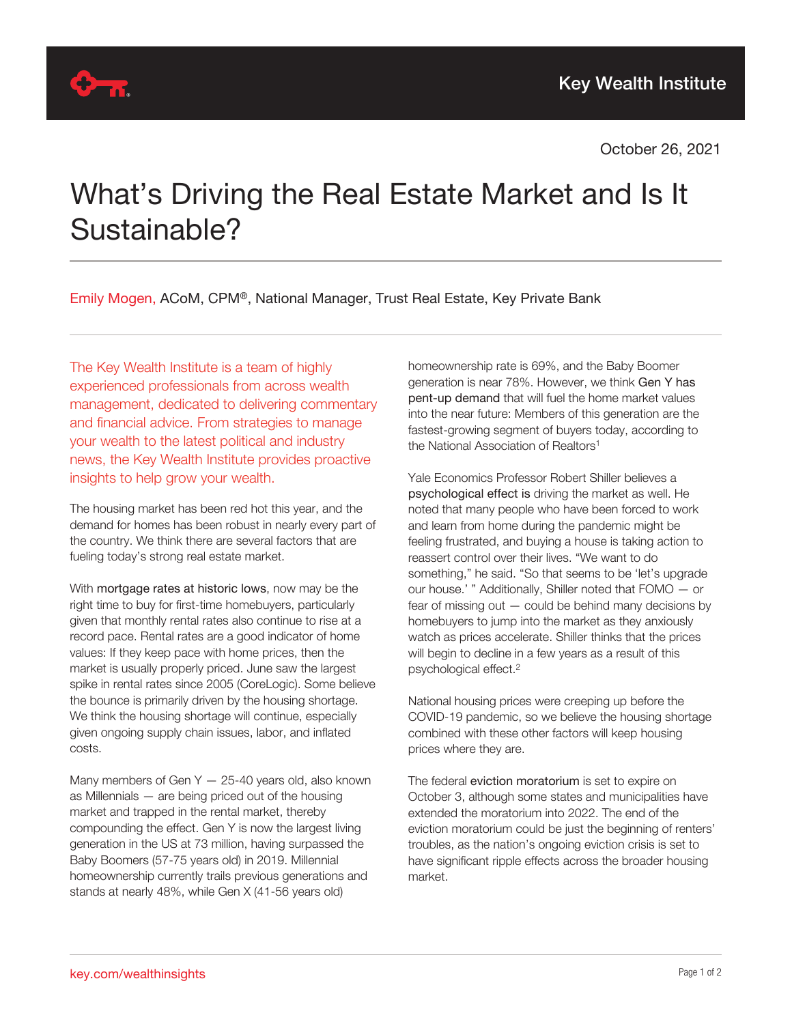

## What's Driving the Real Estate Market and Is It Sustainable?

Emily Mogen, ACoM, CPM®, National Manager, Trust Real Estate, Key Private Bank

The Key Wealth Institute is a team of highly experienced professionals from across wealth management, dedicated to delivering commentary and financial advice. From strategies to manage your wealth to the latest political and industry news, the Key Wealth Institute provides proactive insights to help grow your wealth.

The housing market has been red hot this year, and the demand for homes has been robust in nearly every part of the country. We think there are several factors that are fueling today's strong real estate market.

With mortgage rates at historic lows, now may be the right time to buy for first-time homebuyers, particularly given that monthly rental rates also continue to rise at a record pace. Rental rates are a good indicator of home values: If they keep pace with home prices, then the market is usually properly priced. June saw the largest spike in rental rates since 2005 (CoreLogic). Some believe the bounce is primarily driven by the housing shortage. We think the housing shortage will continue, especially given ongoing supply chain issues, labor, and inflated costs.

Many members of Gen  $Y - 25-40$  years old, also known as Millennials — are being priced out of the housing market and trapped in the rental market, thereby compounding the effect. Gen Y is now the largest living generation in the US at 73 million, having surpassed the Baby Boomers (57-75 years old) in 2019. Millennial homeownership currently trails previous generations and stands at nearly 48%, while Gen X (41-56 years old)

homeownership rate is 69%, and the Baby Boomer generation is near 78%. However, we think Gen Y has pent-up demand that will fuel the home market values into the near future: Members of this generation are the fastest-growing segment of buyers today, according to the National Association of Realtors<sup>1</sup>

Yale Economics Professor Robert Shiller believes a psychological effect is driving the market as well. He noted that many people who have been forced to work and learn from home during the pandemic might be feeling frustrated, and buying a house is taking action to reassert control over their lives. "We want to do something," he said. "So that seems to be 'let's upgrade our house.' " Additionally, Shiller noted that FOMO — or fear of missing out — could be behind many decisions by homebuyers to jump into the market as they anxiously watch as prices accelerate. Shiller thinks that the prices will begin to decline in a few years as a result of this psychological effect.<sup>2</sup>

National housing prices were creeping up before the COVID-19 pandemic, so we believe the housing shortage combined with these other factors will keep housing prices where they are.

The federal eviction moratorium is set to expire on October 3, although some states and municipalities have extended the moratorium into 2022. The end of the eviction moratorium could be just the beginning of renters' troubles, as the nation's ongoing eviction crisis is set to have significant ripple effects across the broader housing market.